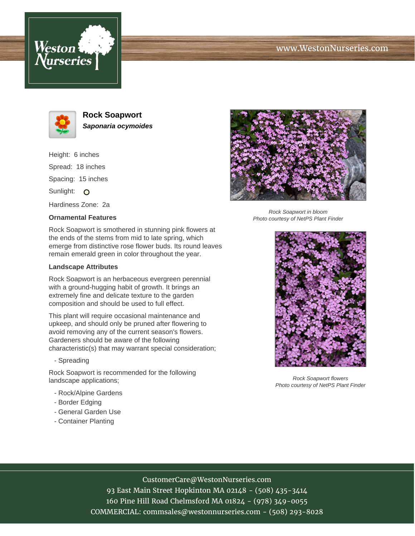





**Rock Soapwort Saponaria ocymoides**

Height: 6 inches Spread: 18 inches Spacing: 15 inches Sunlight: O Hardiness Zone: 2a

## **Ornamental Features**

Rock Soapwort is smothered in stunning pink flowers at the ends of the stems from mid to late spring, which emerge from distinctive rose flower buds. Its round leaves remain emerald green in color throughout the year.

## **Landscape Attributes**

Rock Soapwort is an herbaceous evergreen perennial with a ground-hugging habit of growth. It brings an extremely fine and delicate texture to the garden composition and should be used to full effect.

This plant will require occasional maintenance and upkeep, and should only be pruned after flowering to avoid removing any of the current season's flowers. Gardeners should be aware of the following characteristic(s) that may warrant special consideration;

- Spreading

Rock Soapwort is recommended for the following landscape applications;

- Rock/Alpine Gardens
- Border Edging
- General Garden Use
- Container Planting



Rock Soapwort in bloom Photo courtesy of NetPS Plant Finder



Rock Soapwort flowers Photo courtesy of NetPS Plant Finder

## CustomerCare@WestonNurseries.com

93 East Main Street Hopkinton MA 02148 - (508) 435-3414 160 Pine Hill Road Chelmsford MA 01824 - (978) 349-0055 COMMERCIAL: commsales@westonnurseries.com - (508) 293-8028